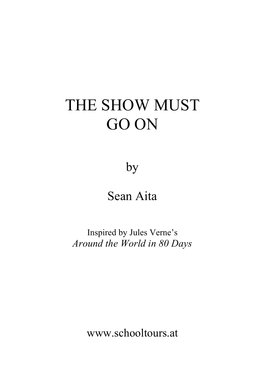# THE SHOW MUST GO ON

by

# Sean Aita

Inspired by Jules Verne's *Around the World in 80 Days*

www.schooltours.at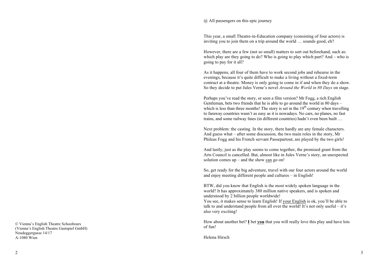#### @ All passengers on this epic journey

This year, a small Theatre-in-Education company (consisting of four actors) is inviting you to join them on a trip around the world … sounds good, eh?

However, there are a few (not so small) matters to sort out beforehand, such as: which play are they going to do? Who is going to play which part? And – who is going to pay for it all?

As it happens, all four of them have to work second jobs and rehearse in the evenings, because it's quite difficult to make a living without a fixed-term contract at a theatre. Money is only going to come in if and when they do a show. So they decide to put Jules Verne's novel *Around the World in 80 Days* on stage.

Perhaps you've read the story, or seen a film version? Mr Fogg, a rich English Gentleman, bets two friends that he is able to go around the world in 80 days – which is less than three months! The story is set in the  $19<sup>th</sup>$  century when travelling to faraway countries wasn't as easy as it is nowadays. No cars, no planes, no fast trains, and some railway lines (in different countries) hadn't even been built …

Next problem: the casting. In the story, there hardly are any female characters. And guess what – after some discussion, the two main roles in the story, Mr Phileas Fogg and his French servant Passepartout, are played by the two girls!

And lastly, just as the play seems to come together, the promised grant from the Arts Council is cancelled. But, almost like in Jules Verne's story, an unexpected solution comes up – and the show can go on!

So, get ready for the big adventure, travel with our four actors around the world and enjoy meeting different people and cultures – in English!

BTW, did you know that English is the most widely spoken language in the world? It has approximately 380 million native speakers, and is spoken and understood by 2 billion people worldwide!

You see, it makes sense to learn English! If your English is ok, you'll be able to talk to and understand people from all over the world! It's not only useful – it's also very exciting!

How about another bet? **I** bet **you** that you will really love this play and have lots of fun!

Helena Hirsch �

© Vienna's English Theatre Schooltours (Vienna's English Theatre Gastspiel GmbH) Neudeggergasse 14/17 A-1080 Wien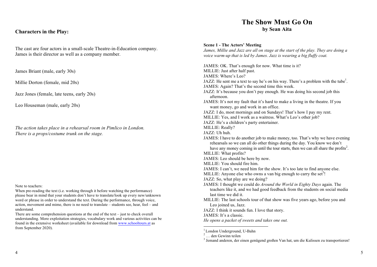# **Characters in the Play:**

The cast are four actors in a small-scale Theatre-in-Education company. James is their director as well as a company member.

James Briant (male, early 30s)

Millie Dorton (female, mid 20s)

Jazz Jones (female, late teens, early 20s)

Leo Houseman (male, early 20s)

*The action takes place in a rehearsal room in Pimlico in London. There is a props/costume trunk on the stage.* 

Note to teachers:

When pre-reading the text (i.e. working through it before watching the performance) please bear in mind that your students don't have to translate/look up every new/unknown word or phrase in order to understand the text. During the performance, through voice, action, movement and mime, there is no need to translate – students see, hear, feel – and understand.

There are some comprehension questions at the end of the text – just to check overall understanding. More exploitation strategies, vocabulary work and various activities can be found in the extensive worksheet (available for download from www.schooltours.at as from September 2020).

# **The Show Must Go On by Sean Aita**

#### **Scene 1 - The Actors' Meeting**

*James, Millie and Jazz are all on stage at the start of the play. They are doing a voice warm-up that is led by James. Jazz is wearing a big fluffy coat.* 

JAMES: OK. That's enough for now. What time is it? MILLIE: Just after half past. JAMES: Where's Leo? JAZZ: He sent me a text to say he's on his way. There's a problem with the tube<sup>1</sup>. JAMES: Again? That's the second time this week. JAZZ: It's because you don't pay enough. He was doing his second job this afternoon. JAMES: It's not my fault that it's hard to make a living in the theatre. If you want money, go and work in an office. JAZZ: I do, most mornings and on Sundays! That's how I pay my rent. MILLIE: Yes, and I work as a waitress. What's Leo's other job? JAZZ: He's a children's party entertainer. MILLIE: Really? JAZZ: Uh huh. JAMES: I have to do another job to make money, too. That's why we have evening rehearsals so we can all do other things during the day. You know we don't have any money coming in until the tour starts, then we can all share the profits<sup>2</sup>. MILLIE: What profits? JAMES: Leo should be here by now. MILLIE: You should fire him. JAMES: I can't, we need him for the show. It's too late to find anyone else. MILLIE: Anyone else who owns a van big enough to carry the set<sup>3</sup>! JAZZ: So, what play are we doing? JAMES: I thought we could do *Around the World in Eighty Days* again. The teachers like it, and we had good feedback from the students on social media last time we did it. MILLIE: The last schools tour of that show was five years ago, before you and Leo joined us, Jazz. JAZZ: I think it sounds fun. I love that story. JAMES: It's a classic. *He opens a packet of sweets and takes one out.*

<sup>1</sup> London Underground, U-Bahn  $2 \dots$  den Gewinn teilen

<sup>3</sup> Jemand anderen, der einen genügend großen Van hat, um die Kulissen zu transportieren!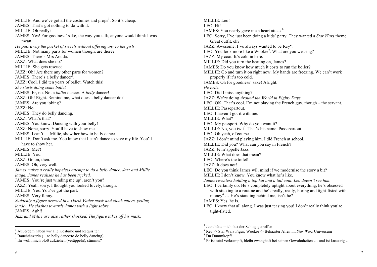MILLIE: And we've got all the costumes and  $\text{props}^1$ . So it's cheap. JAMES: That's got nothing to do with it. MILLIE: Oh really? JAMES: Yes! For goodness' sake, the way you talk, anyone would think I was mean. *He puts away the packet of sweets without offering any to the girls.*  MILLIE: Not many parts for women though, are there? JAMES: There's Mrs Aouda. JAZZ: What does she do? MILLIE: She gets rescued. JAZZ: Oh! Are there any other parts for women? JAMES: There's a belly dancer<sup>2</sup>. JAZZ: Cool. I did ten years of ballet. Watch this! *She starts doing some ballet.*  JAMES: Er, no. Not a *ballet* dancer. A *belly* dancer! JAZZ: Oh! Right. Remind me, what does a belly dancer do? JAMES: Are you joking? JAZZ: No. JAMES: They do belly dancing. JAZZ: What's that? JAMES: You know. Dancing with your belly! JAZZ: Nope, sorry. You'll have to show me. JAMES: I can't … Millie, show her how to belly dance. MILLIE: Don't ask me. You know that I can't dance to save my life. You'll have to show her JAMES: Me?! MILLIE: You. JAZZ: Go on, then. JAMES: Oh, very well. *James makes a really hopeless attempt to do a belly dance. Jazz and Millie laugh. James realises he has been tricked.*  JAMES: You're just winding me up<sup>3</sup>, aren't you? JAZZ: Yeah, sorry. I thought you looked lovely, though. MILLIE: Yes. You've got the part. JAMES: Very funny. *Suddenly a figure dressed in a Darth Vader mask and cloak enters, yelling loudly. He slashes towards James with a light sabre.*  JAMES: Agh!! *Jazz and Millie are also rather shocked. The figure takes off his mask.* 

MILLIE: Leo! LEO: Hi! JAMES: You nearly gave me a heart attack<sup>1</sup>! LEO: Sorry, I've just been doing a kids' party. They wanted a *Star Wars* theme. Great outfit, eh? JAZZ: Awesome. I've always wanted to be  $\text{Rey}^2$ . LEO: You look more like a Wookie<sup>2</sup>. What are you wearing? JAZZ: My coat. It's cold in here. MILLIE: Did you turn the heating on, James? JAMES: Do you know how much it costs to run the boiler? MILLIE: Go and turn it on right now. My hands are freezing. We can't work properly if it's too cold. JAMES: Oh for goodness' sake! Alright. *He exits.*  LEO: Did I miss anything? JAZZ: We're doing *Around the World in Eighty Days*. LEO: OK. That's cool. I'm not playing the French guy, though – the servant. MILLIE: Passepartout. LEO: I haven't got it with me. MILLIE: What? LEO: My passport. Why do you want it? MILLIE: No, you twit<sup>3</sup>. That's his name. Passepartout. LEO: Oh yeah, of course. JAZZ: I don't mind playing him. I did French at school. MILLIE: Did you? What can you say in French? JAZZ: Je m'appelle Jazz. MILLIE: What does that mean? LEO: Where's the toilet! JAZZ: It does not! LEO: Do you think James will mind if we modernise the story a bit? MILLIE: I don't know. You know what he's like. *James re-enters holding a top hat and a tail coat. Leo doesn't see him.* LEO: I certainly do. He's completely uptight about everything, he's obsessed with sticking to a routine and he's really, really, boring and tight-fisted with money<sup>4</sup> ... He's standing behind me, isn't he? JAMES: Yes, he is. LEO: I knew that all along. I was just teasing you! I don't really think you're tight-fisted.

<sup>&</sup>lt;sup>1</sup> Außerdem haben wir alle Kostüme und Requisiten.<br><sup>2</sup> Bauchtänzerin (…to belly dance/to do belly dancing)

<sup>&</sup>lt;sup>3</sup> Ihr wollt mich bloß aufziehen (veräppeln), stimmts?

 <sup>1</sup> Jetzt hätte mich fast der Schlag getroffen!

<sup>2</sup> Rey -> Star Wars Figur; Wookie -> Behaarter Alien im *Star Wars* Universum <sup>3</sup> Du Dummkopf!

<sup>4</sup> Er ist total verkrampft, bleibt zwanghaft bei seinen Gewohnheiten … und ist knausrig …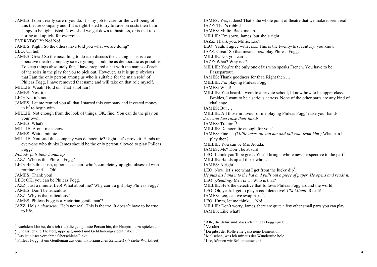JAMES: I don't really care if you do. It's my job to care for the well-being of this theatre company and if it is tight-fisted to try to save on costs then I am happy to be tight-fisted. Now, shall we get down to business, or is that too boring and uptight for everyone? EVERYBODY: No! No! JAMES: Right. So the others have told you what we are doing? LEO: Uh huh. JAMES: Great! So the next thing to do is to discuss the casting. This is a cooperative theatre company so everything should be as democratic as possible. To keep things absolutely fair, I have prepared a hat with the names of each of the roles in the play for you to pick out. However, as it is quite obvious that I am the only person among us who is suitable for the main role<sup>1</sup> of Phileas Fogg, I have removed that name and will take on that role myself. MILLIE: Woah! Hold on. That's not fair! JAMES: Yes, it is. LEO: No. it's not. JAMES: Let me remind you all that I started this company and invested money in it<sup>2</sup> to begin with. MILLIE: Not enough from the look of things. OK, fine. You can do the play on your own. JAMES: What? MILLIE: A one-man show. JAMES: Wait a minute. MILLIE: You said this company was democratic? Right, let's prove it. Hands up everyone who thinks James should be the only person allowed to play Phileas Fogg? *Nobody puts their hands up.*  JAZZ: Who is this Phileas Fogg? LEO: He's this posh, upper class man<sup>3</sup> who's completely uptight, obsessed with routine, and … Oh! JAMES: Thank you! LEO: OK, you can be Phileas Fogg. JAZZ: Just a minute, Leo! What about me? Why can't a girl play Phileas Fogg? JAMES: Don't be ridiculous. JAZZ: Why is that ridiculous? JAMES: Phileas Fogg is a Victorian gentleman<sup>4</sup>! JAZZ: He's a *character.* He's not real. This is theatre. It doesn't have to be true to life.

JAMES: Yes, it does! That's the whole point of theatre that we make it seem real. JAZZ: That's rubbish. JAMES: Millie. Back me up. MILLIE: I'm sorry, James, but she's right. JAZZ: Thank you, Millie. Leo? LEO: Yeah. I agree with Jazz. This is the twenty-first century, you know. JAZZ: Great! So that means I *can* play Phileas Fogg. MILLIE: No, you can't. JAZZ: What? Why not? MILLIE: You're the only one of us who speaks French. You have to be Passepartout. JAMES: Thank goodness for that. Right then … MILLIE: *I'm* playing Phileas Fogg. JAMES: What! MILLIE: You heard. I went to a private school, I know how to be upper class. Besides, I want to be a serious actress. None of the other parts are any kind of challenge.  $JAMES<sup>+</sup> But$ MILLIE: All those in favour of me playing Phileas  $Fogg<sup>1</sup>$  raise your hands. *Jazz and Leo raise their hands.*  JAMES: Traitors<sup>2</sup>! MILLIE: Democratic enough for you? JAMES: Fine … *(Millie takes the top hat and tail coat from him.)* What can I play then? MILLIE: You can be Mrs Aouda. JAMES: Me? Don't be absurd! LEO: I think you'll be great. You'll bring a whole new perspective to the part<sup>3</sup>. MILLIE: Hands up all those who … JAMES: Alright! LEO: Now, let's see what I get from the lucky  $dip^4$ . *He puts his hand into the hat and pulls out a piece of paper. He opens and reads it.*  LEO: *(Reading)* Mr Fix … Who is that? MILLIE: He's the detective that follows Phileas Fogg around the world. LEO: Oh, yeah. I get to play a cool detective! *CSI Miami*. Result! JAMES: Leo, can we swap parts<sup>5</sup>? LEO: Hmm, let me think … No! MILLIE: Don't worry, James, there are quite a few other small parts you can play. JAMES: Like what?

<sup>&</sup>lt;sup>1</sup> Nachdem klar ist, dass ich (...) die geeignetste Person bin, die Hauptrolle zu spielen ...<br>
<sup>2</sup> ... dass ich die Theatergruppe gegründet und Geld hineingesteckt habe ...<br>
<sup>3</sup> Das ist dieser vornehme Oberschicht-Pinkel

<sup>&</sup>lt;sup>1</sup> Alle, die dafür sind, dass ich Phileas Fogg spiele ... <sup>2</sup> Verräter!<br><sup>3</sup> Du gibst der Rolle eine ganz neue Dimension.

 $<sup>4</sup>$  Mal sehen, was ich mir aus der Wundertüte hole.</sup>

<sup>5</sup> Leo, können wir Rollen tauschen?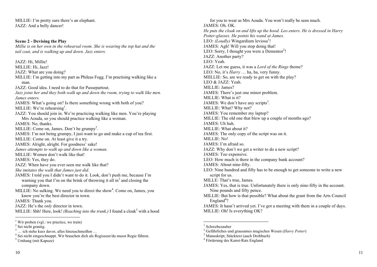MILLIE: I'm pretty sure there's an elephant. JAZZ: And a belly dancer!

**Scene 2 - Devising the Play** *Millie is on her own in the rehearsal room. She is wearing the top hat and the tail coat, and is walking up and down. Jazz enters.* 

JAZZ: Hi, Millie! MILLIE: Hi, Jazz! JAZZ: What are you doing? MILLIE: I'm getting into my part as Phileas Fogg. I'm practising walking like a man. JAZZ: Good idea. I need to do that for Passepartout. *Jazz joins her and they both walk up and down the room, trying to walk like men. James enters.*  JAMES: What's going on? Is there something wrong with both of you? MILLIE: We're rehearsing<sup>1</sup>. JAZZ: You should join in. We're practicing walking like men. You're playing Mrs Aouda, so you should practice walking like a woman. JAMES: No, thanks. MILLIE: Come on, James. Don't be grumpy<sup>2</sup>. JAMES: I'm not being grumpy, I just want to go and make a cup of tea first. MILLIE: Come on. At least give it a try. JAMES: Alright, alright. For goodness' sake! *James attempts to walk up and down like a woman.*  MILLIE: Women don't walk like that! JAMES: Yes, they do. JAZZ: When have you ever seen me walk like that? *She imitates the walk that James just did.*  JAMES: I told you I didn't want to do it. Look, don't push me, because I'm warning you that I'm on the brink of throwing it all  $in<sup>3</sup>$  and closing the company down. MILLIE: No sulking. We need you to direct the show<sup>4</sup>. Come on, James, you know you're the best director in town. JAMES: Thank you. JAZZ: He's the *only* director in town. MILLIE: Shh! Here, look! *(Reaching into the trunk.)* I found a cloak<sup>5</sup> with a hood

for you to wear as Mrs Aouda. You won't really be seen much. JAMES: Oh. OK. *He puts the cloak on and lifts up the hood. Leo enters. He is dressed in Harry Potter-glasses. He points his wand at James.*  LEO: *(Loudly)* Wingardium leviosa<sup>1</sup>! JAMES: Agh! Will you stop doing that! LEO: Sorry, I thought you were a Dementor<sup>2</sup>! JAZZ: Another party? LEO: Yeah. JAZZ: Let me guess, it was a *Lord of the Rings* theme? LEO: No, it's *Harry* … ha, ha, very funny. MIILLIE: So, are we ready to get on with the play? LEO & JAZZ: Yeah. MILLIE: James? JAMES: There's just one minor problem. MILLIE: What is it? JAMES: We don't have any scripts<sup>3</sup>. MILLIE: What? Why not? JAMES: You remember my laptop? MILLIE: The old one that blew up a couple of months ago? JAMES: Uh huh. MILLIE: What about it? JAMES: The only copy of the script was on it. MILLIE: No! JAMES: I'm afraid so. JAZZ: Why don't we get a writer to do a new script? JAMES: Too expensive. LEO: How much is there in the company bank account? JAMES: About nine-fifty. LEO: Nine hundred and fifty has to be enough to get someone to write a new script for us. MILLE: That's true, James. JAMES: Yes, that is true. Unfortunately there is only nine-fifty in the account. Nine pounds and fifty pence. MILLIE: But how is that possible? What about the grant from the Arts Council England<sup>4</sup>? JAMES: It hasn't arrived yet. I've got a meeting with them in a couple of days. MILLIE: Oh! Is everything OK?

<sup>&</sup>lt;sup>1</sup> Wir proben (vgl.: we practice, we train)

 $\frac{2}{3}$  Sei nicht grantig.<br> $\frac{2}{3}$  ... ich stehe kurz davor, alles hinzuschmeißen ...

<sup>&</sup>lt;sup>4</sup> Sei nicht eingeschnappt. Wir brauchen dich als Regisseur/du musst Regie führen. <sup>5</sup> Umhang (mit Kapuze)

 $<sup>1</sup>$  Schwebezauber</sup>

<sup>&</sup>lt;sup>2</sup> Gefährliches und grausames magisches Wesen (*Harry Potter*)<br>
<sup>3</sup> Manuskript, Stücktext (auch Drehbuch)<br>
<sup>4</sup> Förderung des Kunst-Rats England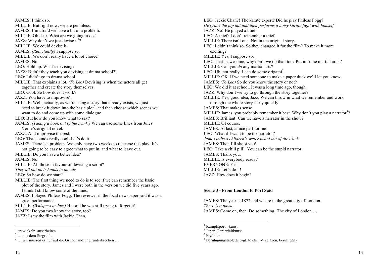JAMES: I think so. MILLIE: But right now, we are penniless. JAMES: I'm afraid we have a bit of a problem. MILLIE: Oh dear. What are we going to do? JAZZ: Why don't we just devise it<sup>1</sup>? MILLIE: We could devise it. JAMES: *(Reluctantly)* I suppose so. MILLIE: We don't really have a lot of choice. JAMES: No. LEO: Hold up. What's devising? JAZZ: Didn't they teach you devising at drama school?! LEO: I didn't go to drama school. MILLIE: That explains a lot. *(To Leo)* Devising is when the actors all get together and create the story themselves. LEO: Cool. So how does it work? JAZZ: You have to improvise<sup>2</sup>. MILLIE: Well, actually, as we're using a story that already exists, we just need to break it down into the basic  $plot<sup>3</sup>$ , and then choose which scenes we want to do and come up with some dialogue. LEO: But how do you know what to say? JAMES: *(Taking a book out of the trunk.)* We can use some lines from Jules Verne's original novel. JAZZ: And improvise the rest. LEO: That sounds really cool. Let's do it. JAMES: There's a problem. We only have two weeks to rehearse this play. It's not going to be easy to agree what to put in, and what to leave out. MILLIE: Do you have a better idea? JAMES: No. MILLIE: All those in favour of devising a script? *They all put their hands in the air.*  LEO: So how do we start? MILLIE: The first thing we need to do is to see if we can remember the basic plot of the story. James and I were both in the version we did five years ago. I think I still know some of the lines. JAMES: I played Phileas Fogg. The reviewer in the local newspaper said it was a great performance. MILLIE: *(Whispers to Jazz)* He said he was still trying to forget it! JAMES: Do you two know the story, too? JAZZ: I saw the film with Jackie Chan.

LEO: Jackie Chan?! The karate expert? Did he play Phileas Fogg? *He grabs the top hat and then performs a noisy karate fight with himself.*  JAZZ: No! He played a thief. LEO: A thief? I don't remember a thief. MILLIE: There isn't one. Not in the original story. LEO: I didn't think so. So they changed it for the film? To make it more exciting? MILLIE: Yes, I suppose so. LEO: That's awesome, why don't we do that, too? Put in some martial arts<sup>1</sup>? MILLIE: Can you *do* any martial arts? LEO: Uh, not really. I can do some origami<sup>2</sup>. MILLIE: OK. If we need someone to make a paper duck we'll let you know. JAMES: *(To Leo)* So do you know the story or not? LEO: We did it at school. It was a long time ago, though. JAZZ: Why don't we try to go through the story together? MILLIE: Yes, good idea, Jazz. We can throw in what we remember and work through the whole story fairly quickly. JAMES: That makes sense. MILLIE: James, you probably remember it best. Why don't you play a narrator<sup>3</sup>? JAMES: Brilliant! Can we have a narrator in the show? MILLIE: Of course. JAMES: At last, a nice part for me! LEO: What if I want to be the narrator? *James pulls a children's water pistol out of the trunk.* JAMES: Then I'll shoot you! LEO: Take a chill pill<sup>4</sup>. You can be the stupid narrator. JAMES: Thank you. MILLIE: Is everybody ready? EVERYONE: Yes! MILLIE: Let's do it! JAZZ: How does it begin?

#### **Scene 3 - From London to Port Said**

JAMES: The year is 1872 and we are in the great city of London. *There is a pause.*  JAMES: Come on, then. Do something! The city of London …

<sup>&</sup>lt;sup>1</sup> entwickeln, ausarbeiten<br>
<sup>2</sup> … aus dem Stegreif …<br>
<sup>3</sup> … wir müssen es nur auf die Grundhandlung runterbrechen …

 $\frac{1}{2}$  Kampfsport, -kunst  $\frac{2}{2}$  Japan. Papierfaltkunst

 $3$  Erzähler

 $4$  Beruhigungstablette (vgl. to chill  $\rightarrow$  relaxen, beruhigen)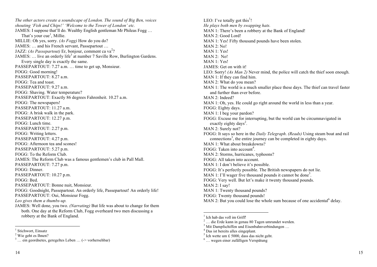*The other actors create a soundscape of London. The sound of Big Ben, voices shouting 'Fish and Chips!' 'Welcome to the Tower of London' etc.*  JAMES: I suppose that'll do. Wealthy English gentleman Mr Phileas Fogg … That's your cue<sup>1</sup>, Millie. MILLIE: Oh yes, sorry. *(As Fogg)* How do you do? JAMES: … and his French servant, Passepartout … JAZZ: *(As Passepartout)* Er, bonjour, comment ca va<sup>2</sup>? JAMES: ... live an orderly life<sup>3</sup> at number 7 Saville Row, Burlington Gardens. Every single day is exactly the same. PASSEPARTOUT: 7.27 a.m. … time to get up, Monsieur. FOGG: Good morning! PASSEPARTOUT: 8.27 a.m. FOGG: Tea and toast. PASSEPARTOUT: 9.27 a.m. FOGG: Shaving. Water temperature? PASSEPARTOUT: Exactly 86 degrees Fahrenheit. 10.27 a.m. FOGG: The newspapers! PASSEPARTOUT: 11.27 a.m. FOGG: A brisk walk in the park. PASSEPARTOUT: 12.27 p.m. FOGG: Lunch time. PASSEPARTOUT: 2.27 p.m. FOGG: Writing letters. PASSEPARTOUT: 4.27 p.m. FOGG: Afternoon tea and scones! PASSEPARTOUT: 5.27 p.m. FOGG: To the Reform Club. JAMES: The Reform Club was a famous gentlemen's club in Pall Mall. PASSEPARTOUT: 7.27 p.m. FOGG: Dinner. PASSEPARTOUT: 10.27 p.m. FOGG: Bed. PASSEPARTOUT: Bonne nuit, Monsieur. FOGG: Goodnight, Passepartout. An orderly life, Passepartout! An orderly life! PASSEPARTOUT: Oui, Monsieur Fogg. *Leo gives them a thumbs-up.*  JAMES: Well done, you two. *(Narrating)* But life was about to change for them both. One day at the Reform Club, Fogg overheard two men discussing a robbery at the Bank of England.

<sup>14</sup> <sup>15</sup> <sup>14</sup>

LEO: I've totally got this<sup>1</sup>! *He plays both men by swapping hats.*  MAN 1: There's been a robbery at the Bank of England! MAN 2: Good Lord! MAN 1: Yes! Fifty thousand pounds have been stolen. MAN 2: No! MAN 1: Yes! MAN 2: No! MAN 1: Yes! JAMES: Get on with it! LEO: Sorry! *(As Man 2)* Never mind, the police will catch the thief soon enough. MAN 1: If they can find him. MAN 2: What do you mean? MAN 1: The world is a much smaller place these days. The thief can travel faster and further than ever before. MAN 2: Indeed? MAN 1: Oh, yes. He could go right around the world in less than a year. FOGG: Eighty days. MAN 1: I beg your pardon? FOGG: Excuse me for interrupting, but the world can be circumnavigated in exactly eighty days<sup>2</sup>. MAN 2: Surely not? FOGG: It says so here in the *Daily Telegraph*. *(Reads)* Using steam boat and rail connections<sup>3</sup>, the entire journey can be completed in eighty days. MAN 1: What about breakdowns? FOGG: Taken into account<sup>4</sup>. MAN 2: Storms, hurricanes, typhoons? FOGG: All taken into account. MAN 1: I don't believe it's possible. FOGG: It's perfectly possible. The British newspapers do not lie. MAN 1: I'll wager five thousand pounds it cannot be done<sup>5</sup>. FOGG: Very well. But let's make it twenty thousand pounds. MAN 2: I say! MAN 1: Twenty thousand pounds? FOGG: Twenty thousand pounds! MAN 2: But you could lose the whole sum because of one accidental  $6$  delay.

<sup>&</sup>lt;sup>1</sup> Stichwort, Einsatz

<sup>2</sup> Wie geht es Ihnen?

 $\frac{3}{3}$  ... ein geordnetes, geregeltes Leben ... (-> vorhersehbar)

 $<sup>1</sup>$  Ich hab das voll im Griff!</sup>

<sup>&</sup>lt;sup>2</sup> ... die Erde kann in genau 80 Tagen umrundet werden.

<sup>&</sup>lt;sup>3</sup> Mit Dampfschiffen und Eisenbahnverbindungen ...<br><sup>4</sup> Das ist bereits alles eingeplant.<br><sup>5</sup> Ich wette um £ 5000, dass das nicht geht.

 $6 \ldots$  wegen einer zufälligen Verspätung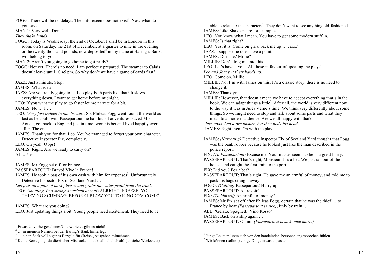FOGG: There will be no delays. The unforeseen does not exist<sup>1</sup>. Now what do

you say?

MAN 1: Very well. Done!

*They shake hands.* 

FOGG: Today is Wednesday, the 2nd of October. I shall be in London in this room, on Saturday, the 21st of December, at a quarter to nine in the evening, or the twenty thousand pounds, now deposited<sup>2</sup> in my name at Baring's Bank, will belong to you.

MAN 2: Aren't you going to go home to get ready?

FOGG: Not yet. There's no need. I am perfectly prepared. The steamer to Calais doesn't leave until 10.45 pm. So why don't we have a game of cards first?

JAZZ: Just a minute. Stop!

JAMES: What is it?

- JAZZ: Are you really going to let Leo play both parts like that? It slows everything down, I want to get home before midnight.
- LEO: If you want the play to go faster let me narrate for a bit. JAMES: No <br>I
- LEO: *(Very fast indeed in one breath)*: So, Phileas Fogg went round the world as fast as he could with Passepartout, he had lots of adventures, saved Mrs Aouda, got back to England just in time, won his bet and lived happily ever after. The end.
- JAMES: Thank you for that, Leo. You've managed to forget your own character, Detective Inspector Fix, completely.

LEO: Oh yeah! Oops! JAMES: Right. Are we ready to carry on? ALL: Yes.

JAMES: Mr Fogg set off for France.

PASSEPARTOUT: Bravo! Vive la France!

JAMES: He took a bag of his own cash with him for expenses<sup>3</sup>. Unfortunately Detective Inspector Fix of Scotland Yard …

*Leo puts on a pair of dark glasses and grabs the water pistol from the trunk.*  LEO: *(Shouting in a strong American accent*) ALRIGHT! FREEZE, YOU

THIEVING SCUMBAG, BEFORE I BLOW YOU TO KINGDOM COME<sup>4</sup>!

JAMES: What are you doing?

LEO: Just updating things a bit. Young people need excitement. They need to be

able to relate to the characters<sup>1</sup>. They don't want to see anything old-fashioned. JAMES: Like Shakespeare for example? LEO: You know what I mean. You have to get some modern stuff in. JAMES: Is that right? LEO: Yes, it is. Come on girls, back me up ... Jazz? JAZZ: I suppose he does have a point. JAMES: Does he? Millie? MILLIE: Don't drag me into this. LEO: Let's have a vote. All those in favour of updating the play? *Leo and Jazz put their hands up.*  LEO: Come on, Millie. MILLIE: No, I'm with James on this. It's a classic story, there is no need to change it. JAMES: Thank you. MILLIE: However, that doesn't mean we have to accept everything that's in the book. We can adapt things a little<sup>2</sup>. After all, the world is very different now to the way it was in Jules Verne's time. We think very differently about some things. So we might need to stop and talk about some parts and what they mean to a modern audience. Are we all happy with that? *Jazz nods. Leo looks unsure, but then nods his head.*  JAMES: Right then. On with the play. JAMES: *(Narrating)* Detective Inspector Fix of Scotland Yard thought that Fogg was the bank robber because he looked just like the man described in the police report. FIX: *(To Passepartout)* Excuse me. Your master seems to be in a great hurry. PASSEPARTOUT: That's right, Monsieur. It's a bet. We just ran out of the house, and caught the first train to the port. FIX: Did you? For a bet? PASSEPARTOUT: That's right. He gave me an armful of money, and told me to pack his bags straight away. FOGG: *(Calling)* Passepartout! Hurry up! PASSEPARTOUT: Au revoir! FIX: *(To himself)* An armful of money? JAMES: Mr Fix set off after Phileas Fogg, certain that he was the thief … to France by boat *(Passepartout is sick)*, Italy by train … ALL: 'Gelato, Spaghetti, Vino Rosso'!

JAMES: Back on a ship again …

PASSEPARTOUT: Oh no! *(Passepartout is sick once more.)*

 <sup>1</sup> Etwas Unvorhergesehenes/Unerwartetes gibt es nicht!

<sup>&</sup>lt;sup>2</sup> … in meinem Namen bei der Baring's Bank hinterlegt<br> $\frac{3}{1}$  … einen Sack voll eigenes Bargeld für (Reise-)Ausgaben mitnehmen

 $3$ <sup>4</sup> Keine Bewegung, du diebischer Mistsack, sonst knall ich dich ab! ( $\ge$  siehe Worksheet)

<sup>&</sup>lt;sup>1</sup> Junge Leute müssen sich von den handelnden Personen angesprochen fühlen  $\dots$  <sup>2</sup> Wir können (sollten) einige Dinge etwas anpassen.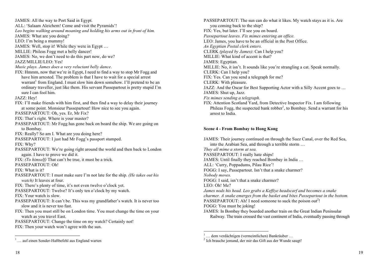JAMES: All the way to Port Said in Egypt. ALL: 'Salaam Aleichem! Come and visit the Pyramids'! *Leo begins walking around moaning and holding his arms out in front of him.*  JAMES: What are you doing? LEO: I'm being a mummy! JAMES: Well, stop it! While they were in Egypt … MILLIE: Phileas Fogg met a belly dancer! JAMES: No, we don't need to do this part now, do we? JAZZ/MILLIE/LEO: Yes! *Music plays. James does a very reluctant belly dance*. FIX: Hmmm, now that we're in Egypt, I need to find a way to stop Mr Fogg and have him arrested. The problem is that I have to wait for a special arrest warrant<sup>1</sup> from England. I must slow him down somehow. I'll pretend to be an ordinary traveller, just like them. His servant Passepartout is pretty stupid I'm sure I can fool him. JAZZ: Hey! FIX: I'll make friends with him first, and then find a way to delay their journey at some point. Monsieur Passepartout! How nice to see you again. PASSEPARTOUT: Oh, yes. Er, Mr Fix? FIX: That's right. Where is your master? PASSEPARTOUT: Mr Fogg has gone back on board the ship. We are going on to Bombay. FIX: Really? So am I. What are you doing here? PASSEPARTOUT: I just had Mr Fogg's passport stamped. FIX: Why? PASSEPARTOUT: We're going right around the world and then back to London again. I have to prove we did it. FIX: *(To himself)* That can't be true, it must be a trick. PASSEPARTOUT: Oh!  $FIX: What is it?$ PASSEPARTOUT: I must make sure I'm not late for the ship. *(He takes out his watch)* It leaves at four. FIX: There's plenty of time, it's not even twelve o'clock yet. PASSEPARTOUT: Twelve? It's only ten o'clock by my watch. FIX: Your watch is slow. PASSEPARTOUT: It can't be. This was my grandfather's watch. It is never too slow and it is never too fast. FIX: Then you must still be on London time. You must change the time on your watch as you travel East. PASSEPARTOUT: Change the time on my watch? Certainly not! FIX: Then your watch won't agree with the sun.

PASSEPARTOUT: The sun can do what it likes. My watch stays as it is. Are you coming back to the ship? FIX: Yes, but later. I'll see you on board. *Passepartout leaves. Fix mimes entering an office.*  LEO: James, you have to be an official in the Post Office. *An Egyptian Postal clerk enters.* CLERK *(played by James)*: Can I help you? MILLIE: What kind of accent is that? JAMES: Egyptian. MILLIE: No, it isn't. It sounds like you're strangling a cat. Speak normally. CLERK: Can I help you? FIX: Yes. Can you send a telegraph for me? CLERK: With pleasure. JAZZ: And the Oscar for Best Supporting Actor with a Silly Accent goes to … JAMES: Shut up, Jazz. *Fix mimes sending a telegraph.* FIX: Attention Scotland Yard, from Detective Inspector Fix. I am following Phileas Fogg, the suspected bank robber<sup>1</sup>, to Bombay. Send a warrant for his arrest to India.

#### **Scene 4 - From Bombay to Hong Kong**

JAMES: Their journey continued on through the Suez Canal, over the Red Sea, into the Arabian Sea, and through a terrible storm … *They all mime a storm at sea.*  PASSEPARTOUT: I really hate ships! JAMES: Until finally they reached Bombay in India … ALL: 'Curry, Poppadums, Pilau Rice'! FOGG: I say, Passepartout. Isn't that a snake charmer? *Nobody moves.*  FOGG: I said, isn't that a snake charmer? LEO: Oh! Me? *James nods his head. Leo grabs a Keffiye headscarf and becomes a snake charmer. A snake emerges from the basket and bites Passepartout in the bottom.*  PASSEPARTOUT: Ah! I need someone to suck the poison out<sup>2</sup>! FOGG: You must be joking! JAMES: In Bombay they boarded another train on the Great Indian Peninsular Railway. The train crossed the vast continent of India, eventually passing through

 $\frac{1}{1}$  ... auf einen Sonder-Haftbefehl aus England warten

<sup>&</sup>lt;sup>1</sup> … dem verdächtigen (vermeintlichen) Bankräuber … <sup>2</sup> Ich brauche jemand, der mir das Gift aus der Wunde saugt!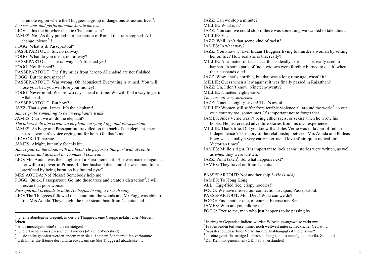a remote region where the Thuggees, a group of dangerous assassins, lived<sup>1</sup>. *Leo screams and performs some karate moves.*  LEO: Is this the bit where Jackie Chan comes in? JAMES: No! As they pulled into the station of Rothal the train stopped. All change, please<sup>2</sup>!! FOGG: What is it, Passepartout? PASSEPARTOUT: Sir, no railway. FOGG: What do you mean, no railway? PASSEPARTOUT: The railway isn't finished yet! FOGG: Not finished? PASSEPARTOUT: The fifty miles from here to Allahabad are not finished. FOGG: But the newspaper? PASSEPARTOUT: Was wrong! Oh, Monsieur! Everything is ruined. You will lose your bet, you will lose your money!! FOGG: Never mind. We are two days ahead of time. We will find a way to get to Allahabad. PASSEPARTOUT: But how? JAZZ: That's you, James. It's the elephant! *James grabs something to be an elephant's trunk*. JAMES: Can't we all do the elephant? *The others help him create an elephant carrying Fogg and Passepartout.*  JAMES: As Fogg and Passepartout travelled on the back of the elephant, they heard a woman's voice crying out for help. Oh, that's me … LEO: OK. I'll narrate. JAMES: Alright, but only for this bit. *James puts on the cloak with the hood. He performs this part with absolute seriousness and does not try to make it comical.*  LEO: Mrs Aouda was the daughter of a Parsi merchant<sup>3</sup>. She was married against her will to a powerful Prince. But her husband died, and she was about to be sacrificed by being burnt on his funeral pyre $4$ . MRS AOUDA: No! Please! Somebody help me!

FOGG: Quick, Passepartout. Go into those trees and create a distraction<sup>5</sup>. I will rescue that poor woman.

*Passepartout pretends to hide. He begins to sing a French song.* 

LEO: The Thuggees followed the sound into the woods and Mr Fogg was able to free Mrs Aouda. They caught the next steam boat from Calcutta and …

<sup>1</sup> ... eine abgelegene Gegend, in der die Thuggees, eine Gruppe gefährlicher Mörder, lebten<br> $\frac{2}{3}$  Alles umsteigen bittel (hier: aussteigen)

JAZZ: Can we stop a minute? MILLIE: What is it? JAZZ: You said we could stop if there was something we wanted to talk about. MILLIE: Yes. JAZZ: Well, isn't that scene kind of racist? JAMES: In what way? JAZZ: You know … Evil Indian Thuggees trying to murder a woman by setting her on fire? How realistic is that really? MILLIE: As a matter of fact, Jazz, this is deadly serious. This really used to happen. In some parts of India widows were forcibly burned to death<sup>1</sup> when their husbands died. JAZZ. Wow, that's horrible, but that was a long time ago, wasn't it? MILLIE: Guess when a law against it was finally passed in Rajasthan? JAZZ: Uh, I don't know. Nineteen-twenty? MILLIE: Nineteen eighty-seven. *They are all very surprised.*  JAZZ: Nineteen eighty-seven! That's awful. MILLIE: Women still suffer from terrible violence all around the world<sup>2</sup>, in our own country too, sometimes. It's important not to forget that. JAMES: Jules Verne wasn't being either racist or sexist when he wrote his books. He just created adventure stories from his own experience. MILLIE: That's true. Did you know that Jules Verne was in favour of Indian Independence<sup>3</sup>? The story of the relationship between Mrs Aouda and Phileas Fogg was actually a very early inter-racial love affair, quite radical for Victorian times<sup>4</sup>. JAMES: Millie's right. It is important to look at *why* stories were written, as well as *when* they were written. JAZZ: Point taken<sup>5</sup>. So, what happens next? JAMES: They travel on from Calcutta. PASSEPARTOUT: Not another ship!! *(He is sick)*  JAMES: To Hong Kong. ALL: 'Egg-fried rice, crispy noodles!' FOGG: We have missed our connection to Japan, Passepartout. PASSEPARTOUT: Mon Dieu! What can we do? FOGG: Find another one, of course. Excuse me, Sir.

JAMES: Who are you talking to?

FOGG: Excuse me, man who just happens to be passing by …

<sup>&</sup>lt;sup>3</sup> … die Tochter eines parsischen Händlers (-> siehe Worksheet)  $\frac{4}{1}$  … sie sollte geopfert werden, indem man sie auf seinem Scheiterhaufen verbrannte

<sup>5</sup> Geh hinter die Bäume dort und tu etwas, um sie (die Thuggees) abzulenken …

<sup>&</sup>lt;sup>1</sup> In einigen Gegenden Indiens wurden Witwen zwangsweise verbrannt … <sup>2</sup> Frauen leiden teilweise immer noch weltweit unter schrecklicher Gewalt … <sup>3</sup> Wusstest du, dass Jules Verne für die Unabhängigkeit Indiens war?

<sup>&</sup>lt;sup>4</sup> ... eine gemischt-rassige Liebesbeziehung (-> fast unmöglich im vikt. Zeitalter) <sup>5</sup> Zur Kennnis genommen (OK, hab's verstanden)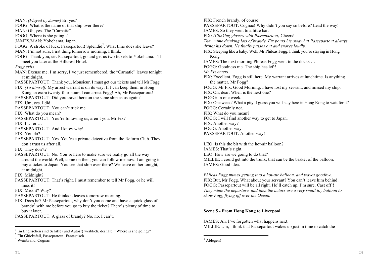MAN: *(Played by James)* Er, yes? FOGG: What is the name of that ship over there? MAN: Oh, yes. The "Carnatic". FOGG: Where is she going<sup>1</sup>? JAMES/MAN: Yokohama, Japan. FOGG: A stroke of luck, Passepartout! Splendid<sup>2</sup>. What time does she leave? MAN: I'm not sure. First thing tomorrow morning, I think. FOGG: Thank you, sir. Passepartout, go and get us two tickets to Yokohama. I'll meet you later at the Hillcrest Hotel. *Fogg exits.* MAN: Excuse me. I'm sorry, I've just remembered, the "Carnatic" leaves tonight at midnight. PASSEPARTOUT: Thank you, Monsieur. I must get our tickets and tell Mr Fogg. FIX: *(To himself)* My arrest warrant is on its way. If I can keep them in Hong Kong an extra twenty-four hours I can arrest Fogg! Ah, Mr Passepartout! PASSEPARTOUT: Did you travel here on the same ship as us again? FIX: Um, yes. I did. PASSEPARTOUT: You can't trick me. FIX: What do you mean? PASSEPARTOUT: You're following us, aren't you, Mr Fix? FIX: I … er … PASSEPARTOUT: And I know why! FIX: You do? PASSEPARTOUT: Yes. You're a private detective from the Reform Club. They don't trust us after all. FIX: They don't? PASSEPARTOUT: No. You're here to make sure we really go all the way around the world. Well, come on then, you can follow me now. I am going to buy a ticket to Japan. You see that ship over there? We leave on her tonight, at midnight. FIX: Midnight? PASSEPARTOUT: That's right. I must remember to tell Mr Fogg, or he will miss it! FIX: Miss it? Why? PASSEPARTOUT: He thinks it leaves tomorrow morning. FIX: Does he? Mr Passepartout, why don't you come and have a quick glass of brandy<sup>3</sup> with me before you go to buy the ticket? There's plenty of time to buy it later. PASSEPARTOUT: A glass of brandy? No, no. I can't.

FIX: French brandy, of course! PASSEPARTOUT: Cognac! Why didn't you say so before? Lead the way! JAMES: So they went to a little bar. FIX: *(Clinking glasses with Passepartout)* Cheers! *They mime drinking lots of brandy. Fix pours his away but Passepartout always drinks his down. He finally passes out and snores loudly.* FIX: Sleeping like a baby. Well, Mr Phileas Fogg. I think you're staying in Hong Kong. JAMES: The next morning Phileas Fogg went to the docks … FOGG: Goodness me. The ship has left! *Mr Fix enters.* FIX: Excellent, Fogg is still here. My warrant arrives at lunchtime. Is anything the matter, Mr Fogg? FOGG: Mr Fix. Good Morning. I have lost my servant, and missed my ship. FIX: Oh, dear. When is the next one? FOGG: In one week. FIX: One week? What a pity. I guess you will stay here in Hong Kong to wait for it? FOGG: Certainly not. FIX: What do you mean? FOGG: I will find another way to get to Japan. FIX: Another way? FOGG: Another way. PASSEPARTOUT: Another way!

LEO: Is this the bit with the hot-air balloon? JAMES: That's right. LEO: How are we going to do that? MILLIE: I could get into the trunk; that can be the basket of the balloon. JAMES: Good idea.

*Phileas Fogg mimes getting into a hot-air balloon, and waves goodbye.*  FIX: But, Mr Fogg. What about your servant? You can't leave him behind! FOGG: Passepartout will be all right. He'll catch up, I'm sure. Cast off<sup>1</sup>! *They mime the departure, and then the actors use a very small toy balloon to show Fogg flying off over the Ocean.* 

# **Scene 5 - From Hong Kong to Liverpool**

JAMES: Ah. I've forgotten what happens next. MILLIE: Um, I think that Passepartout wakes up just in time to catch the

<sup>&</sup>lt;sup>1</sup> Im Englischen sind Schiffe (und Autos!) weiblich, deshalb: "Where is she going?" <sup>2</sup> Ein Glücksfall, Passepartout! Fantastisch.

<sup>&</sup>lt;sup>3</sup> Weinbrand, Cognac

 $<sup>1</sup>$  Ablegen!</sup>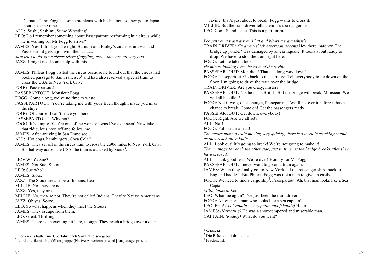"Carnatic" and Fogg has some problems with his balloon, so they get to Japan about the same time.

- ALL: 'Sushi, Sashimi, Sumo Wrestling'!
- LEO: Do I remember something about Passepartout performing in a circus while he is waiting for Mr Fogg to arrive?
- JAMES: Yes. I think you're right. Barnum and Bailey's circus is in town and Passepartout gets a job with them. Jazz?
- *Jazz tries to do some circus tricks (juggling, etc) – they are all very bad.*
- JAZZ: I might need some help with this.
- JAMES: Phileas Fogg visited the circus because he found out that the circus had booked passage to San Francisco<sup>1</sup> and had also reserved a special train to cross the USA to New York City. FOGG: Passepartout! PASSEPARTOUT: Monsieur Fogg! FOGG: Come along, we've no time to waste. PASSEPARTOUT: You're taking me with you? Even though I made you miss the ship? FOGG: Of course. I can't leave you here. PASSEPARTOUT: Why not? FOGG: It's simple. You're one of the worst clowns I've ever seen! Now take that ridiculous nose off and follow me. JAMES: After arriving in San Francisco … ALL: 'Hot dogs, hamburgers, Coca Cola'! JAMES: They set off in the circus train to cross the 2,906 miles to New York City. But halfway across the USA, the train is attacked by Sioux<sup>2</sup>. LEO: Who's Sue? JAMES: Not Sue, Sioux. LEO: Sue who? JAMES: Sioux! JAZZ: The Sioux are a tribe of Indians, Leo. MILLIE: No, they are not. JAZZ: Yes, they are. MILLIE: No, they're not. They're not called Indians. They're Native Americans.
- JAZZ: Oh yes. Sorry.
- LEO: So what happens when they meet the Sioux?
- JAMES: They escape from them.
- LEO: Great. Thrilling.
- JAMES: There is an exciting bit here, though. They reach a bridge over a deep

ravine<sup>1</sup> that's just about to break. Fogg wants to cross it. MILLIE: But the train driver tells them it's too dangerous. LEO: Cool! Stand aside. This is a part for me.

*Leo puts on a train driver's hat and blows a train whistle.*

TRAIN DRIVER: *(In a very thick American accent)* Hey there, pardner. The bridge up yonder<sup>2</sup> was damaged by an earthquake. It looks about ready to drop. We have to stop the train right here. FOGG: Let me take a look. *He mimes looking over the edge of the ravine.*  PASSEPARTOUT: Mon dieu! That is a long way down! FOGG: Passepartout. Go back to the carriage. Tell everybody to lie down on the floor. I'm going to drive the train over the bridge. TRAIN DRIVER: Are you crazy, mister? PASSEPARTOUT: No, he's just British. But the bridge will break, Monsieur. We will all be killed! FOGG: Not if we go fast enough, Passepartout. We'll be over it before it has a chance to break. Come on! Get the passengers ready. PASSEPARTOUT: Get down, everybody! FOGG: Right. Are we all set? ALL: No!! FOGG: Full steam ahead! *The actors mime a train moving very quickly, there is a terrible cracking sound as they reach the middle …* ALL: Look out! It's going to break! We're not going to make it! *They manage to reach the other side, just in time, as the bridge breaks after they have crossed.*  ALL: Thank goodness! We're over! Hooray for Mr Fogg! PASSEPARTOUT: I never want to go on a train again. JAMES: When they finally got to New York, all the passenger ships back to England had left. But Phileas Fogg was not a man to give up easily. FOGG: We need to find a cargo ship<sup>3</sup>, Passepartout. Ah, that man looks like a Sea Captain. *Millie looks at Leo.* LEO: What me again? I've just been the train driver. FOGG: Ahoy there, man who looks like a sea captain! LEO: Fine! *(As Captain – very polite and friendly)* Hello. JAMES: *(Narrating)* He was a short-tempered and miserable man. CAPTAIN: *(Rudely)* What do you want?

<sup>&</sup>lt;sup>1</sup> Der Zirkus hatte eine Überfahrt nach San Francisco gebucht.<br><sup>2</sup> Nordamerikanische Völkergruppe (Native Americans), wird [ suː] ausgesprochen

<sup>&</sup>lt;sup>1</sup> Schlucht<br>
<sup>2</sup> Die Brücke dort drüben ...<br>
<sup>3</sup> Frachtschiff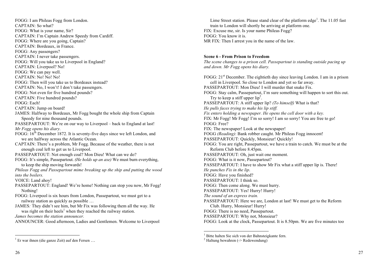FOGG: I am Phileas Fogg from London. CAPTAIN: So what? FOGG: What is your name, Sir? CAPTAIN: I'm Captain Andrew Speedy from Cardiff. FOGG: Where are you going, Captain? CAPTAIN: Bordeaux, in France. FOGG: Any passengers? CAPTAIN: I never take passengers. FOGG: Will you take us to Liverpool in England? CAPTAIN: Liverpool? No! FOGG: We can pay well. CAPTAIN: No! No! No! FOGG: Then will you take us to Bordeaux instead? CAPTAIN: No, I won't! I don't take passengers. FOGG: Not even for five hundred pounds? CAPTAIN: Five hundred pounds? FOGG: Each! CAPTAIN: Jump on board! JAMES: Halfway to Bordeaux, Mr Fogg bought the whole ship from Captain Speedy for nine thousand pounds. PASSEPARTOUT: We're on our way to Liverpool – back to England at last! *Mr Fogg opens his diary.* FOGG:  $16^{th}$  December 1872. It is seventy-five days since we left London, and we are halfway across the Atlantic Ocean. CAPTAIN: There's a problem, Mr Fogg. Because of the weather, there is not enough coal left to get us to Liverpool. PASSEPARTOUT: Not enough coal? Mon Dieu! What can we do? FOGG: It's simple, Passepartout. *(He holds up an axe)* We must burn everything, to keep the ship moving forwards! *Phileas Fogg and Passepartout mime breaking up the ship and putting the wood into the boilers.* VOICE: Land ahoy! PASSEPARTOUT: England! We're home! Nothing can stop you now, Mr Fogg! Nothing! FOGG: Liverpool is six hours from London, Passepartout, we must get to a railway station as quickly as possible … JAMES*:* They didn't see him, but Mr Fix was following them all the way. He was right on their heels<sup>1</sup> when they reached the railway station. *James becomes the station announcer.* 

ANNOUNCER: Good afternoon, Ladies and Gentlemen. Welcome to Liverpool

Lime Street station. Please stand clear of the platform edge<sup>1</sup>. The 11.05 fast train to London will shortly be arriving at platform one. FIX: Excuse me, sir. Is your name Phileas Fogg? FOGG: You know it is. MR FIX: Then I arrest you in the name of the law.

#### **Scene 6 - From Prison to Freedom**

*The scene changes to a prison cell. Passepartout is standing outside pacing up and down. Mr Fogg opens his diary.* 

FOGG:  $21<sup>st</sup>$  December. The eightieth day since leaving London. I am in a prison cell in Liverpool. So close to London and yet so far away. PASSEPARTOUT: Mon Dieu! I will murder that snake Fix. FOGG: Stay calm, Passepartout, I'm sure something will happen to sort this out. Try to keep a stiff upper  $lip<sup>2</sup>$ . PASSEPARTOUT: A stiff upper lip? *(To himself)* What is that? *He pulls faces trying to make his lip stiff. Fix enters holding a newspaper. He opens the cell door with a key.* FIX: Mr Fogg! Mr Fogg! I'm so sorry! I am so sorry! You are free to go! FOGG: Free? FIX: The newspaper! Look at the newspaper! FOGG *(Reading)*: Bank robber caught. Mr Phileas Fogg innocent! PASSEPARTOUT: Quickly, Monsieur! Quickly! FOGG: You are right, Passepartout, we have a train to catch. We must be at the Reform Club before 8.45pm. PASSEPARTOUT: Oh, just wait one moment. FOGG: What is it now, Passepartout? PASSEPARTOUT: I have to show Mr Fix what a stiff upper lip is. There! *He punches Fix in the lip*. FOGG: Have you finished? PASSEPARTOUT: I think so. FOGG: Then come along. We must hurry. PASSEPARTOUT: Yes! Hurry! Hurry! *The sound of an express train.*  PASSEPARTOUT: Here we are, London at last! We must get to the Reform Club. Hurry, Monsieur! Hurry! FOGG: There is no need, Passepartout. PASSEPARTOUT: Why not, Monsieur? FOGG: Look at the clock, Passepartout. It is 8.50pm. We are five minutes too

 $1$  Er war ihnen (die ganze Zeit) auf den Fersen ...

<sup>&</sup>lt;sup>1</sup> Bitte halten Sie sich von der Bahnsteigkante fern. <sup>2</sup> Haltung bewahren (-> Redewendung)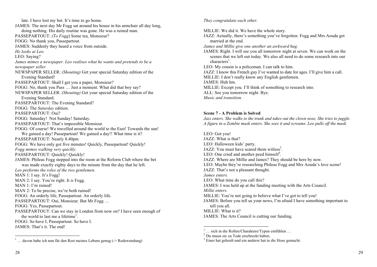late. I have lost my bet. It's time to go home. JAMES: The next day Mr Fogg sat around his house in his armchair all day long, doing nothing. His daily routine was gone. He was a ruined man. PASSEPARTOUT: *(To Fogg*) Some tea, Monsieur? FOGG: No thank you, Passepartout. JAMES: Suddenly they heard a voice from outside. *He looks at Leo.*  LEO: Saying? *James mimes a newspaper. Leo realises what he wants and pretends to be a newspaper seller.*  NEWSPAPER SELLER: *(Shouting)* Get your special Saturday edition of the Evening Standard! PASSEPARTOUT: Shall I get you a paper, Monsieur? FOGG: No, thank you Pass … Just a moment. What did that boy say? NEWSPAPER SELLER: *(Shouting)* Get your special Saturday edition of the Evening Standard. PASSEPARTOUT: The Evening Standard? FOGG: The *Saturday* edition. PASSEPARTOUT: Oui? FOGG: Saturday! Not Sunday! Saturday. PASSEPARTOUT: That's impossible Monsieur. FOGG: Of course! We travelled around the world to the East! Towards the sun! We gained a day! Passepartout! We gained a day!! What time is it? PASSEPARTOUT: Nearly 8.40pm FOGG: We have only got five minutes! Quickly, Passepartout! Quickly! *Fogg mimes walking very quickly*. PASSEPARTOUT: Quickly! Quickly! JAMES: Phileas Fogg stepped into the room at the Reform Club where the bet was made exactly eighty days to the minute from the day that he left. *Leo performs the roles of the two gentlemen.*  MAN 1: I say. It's Fogg! MAN 2: I say. You're right. It *is* Fogg. MAN 1: I'm ruined! MAN 2: To be precise, we're both ruined! FOGG: An orderly life, Passepartout. An orderly life. PASSEPARTOUT: Oui, Monsieur. But Mr Fogg … FOGG: Yes, Passepartout. PASSEPARTOUT: Can we stay in London from now on? I have seen enough of the world to last me a lifetime<sup>1</sup>. FOGG: So have I, Passepartout. So have I. JAMES: That's it. The end!

*They congratulate each other.* 

MILLIE: We did it. We have the whole story.

JAZZ: Actually, there's something you've forgotten. Fogg and Mrs Aouda get married at the end.

*James and Millie give one another an awkward hug.* 

JAMES: Right. I will see you all tomorrow night at seven. We can work on the scenes that we left out today. We also all need to do some research into our  $charactors<sup>1</sup>$ .

LEO: My cousin is a policeman. I can talk to him.

JAZZ: I know this French guy I've wanted to date for ages. I'll give him a call. MILLIE: I don't really know any English gentlemen.

JAMES: Huh hm.

MILLIE: Except you. I'll think of something to research into.

ALL: See you tomorrow night. Bye.

*Music and transition.* 

## **Scene 7 - A Problem is Solved**

*Jazz enters. She walks to the trunk and takes out the clown nose. She tries to juggle. A figure in a Zombie mask enters. She sees it and screams. Leo pulls off the mask.* 

LEO: Got you! JAZZ: What is that? LEO: Halloween kids' party. JAZZ: You must have scared them witless<sup>2</sup>. LEO: One cried and another peed himself<sup>3</sup>. JAZZ: Where are Millie and James? They should be here by now. LEO: Maybe they're researching Phileas Fogg and Mrs Aouda's love scene! JAZZ: That's not a pleasant thought. *James enters.*  LEO: What time do you call this? JAMES: I was held up at the funding meeting with the Arts Council. *Millie enters.*  MILLIE: You're not going to believe what I've got to tell you! JAMES: Before you tell us your news, I'm afraid I have something important to tell you all. MILLIE: What is it? JAMES: The Arts Council is cutting our funding.

 $\frac{1}{1}$  ... davon habe ich nun für den Rest meines Lebens genug (-> Redewendung)

<sup>&</sup>lt;sup>1</sup> … sich in die Rollen/Charaktere/Typen einfühlen … <sup>2</sup> Du musst sie zu Tode erschreckt haben.

 $3$  Einer hat geheult und ein anderer hat in die Hose gemacht.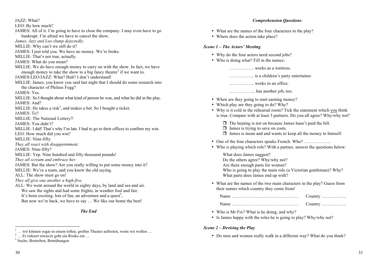JAZZ: What?

- LEO: By how much?
- JAMES: All of it. I'm going to have to close the company. I may even have to go bankrupt. I'm afraid we have to cancel the show.
- *James, Jazz and Leo slump dejectedly.*
- MILLIE: Why can't we still do it?
- JAMES: I just told you. We have no money. We're broke.
- MILLIE: That's not true, actually.
- JAMES: What do you mean?
- MILLIE: We do have enough money to carry on with the show. In fact, we have enough money to take the show to a big fancy theatre<sup>1</sup> if we want to.
- JAMES/LEO/JAZZ: What? Huh? I don't understand!
- MILLIE: James, you know you said last night that I should do some research into the character of Phileas Fogg?
- JAMES: Yes.
- MILLIE: So I thought about what kind of person he was, and what he did in the play. JAMES: And?
- MILLIE: He takes a risk<sup>2</sup>, and makes a bet. So I bought a ticket.
- JAMES: To?
- MILLIE: The National Lottery!!
- JAMES: You didn't?
- MILLIE: I did! That's why I'm late. I had to go to their offices to confirm my win.
- LEO: How much did you win?
- MILLIE: Nine-fifty.
- *They all react with disappointment.*
- JAMES: Nine-fifty?
- MILLIE: Yep. Nine hundred and fifty thousand pounds!
- *They all scream and embrace her.*
- JAMES: But the show? Are you really willing to put some money into it?
- MILLIE: We're a team, and you know the old saying.
- ALL: The show must go on!
- *They all give one another a high-five.*
- ALL: We went around the world in eighty days, by land and sea and air. We saw the sights and had some frights, in weather foul and fair. It's been exciting, lots of fun, an adventure and a quest<sup>3</sup>, But now we're back, we have to say … We like our home the best!
	- *The End*
- <sup>1</sup> … wir können sogar in einem tollen, großen Theater auftreten, wenn wir wollen … <sup>2</sup> … Er riskiert etwas/er geht ein Risiko ein …
- What are the names of the four characters in the play?
- Where does the action take place?

#### *Scene 1 – The Actors' Meeting*

- Why do the four actors need second jobs?
- Who is doing what? Fill in the names:

…………….. works as a waitress.

…………….. is a children's party entertainer.

…………….. works in an office.

……………... has another job, too.

- When are they going to start earning money?
- Which play are they going to do? Why?
- Why is it cold in the rehearsal room? Tick the statement which you think is true. Compare with at least 3 partners. Do you all agree? Why/why not?
	- $\Box$  The heating is not on because James hasn't paid the bill.
	- $\Box$  James is trying to save on costs.
	- $\Box$  James is mean and and wants to keep all the money to himself.
- One of the four characters speaks French. Who? ………………
- Who is playing which role? With a partner, answer the questions below:

What does James suggest? Do the others agree? Why/why not? Are there enough parts for women? Who is going to play the main role (a Victorian gentleman)? Why? What parts does James end up with?

• What are the names of the two main characters in the play? Guess from their names which country they come from!

| Country $\dots\dots\dots\dots\dots$ |
|-------------------------------------|

- Who is Mr Fix? What is he doing, and why?
- Is James happy with the roles he is going to play? Why/why not?

#### *Scene 2 – Devising the Play*

• Do men and women really walk in a different way? What do you think?

<sup>3</sup> Suche, Bestreben, Bemühungen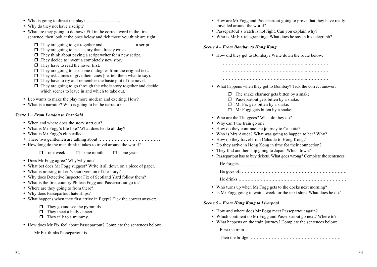- Who is going to direct the play? …………………...
- Why do they not have a script?
- What are they going to do now? Fill in the correct word in the first sentence, then look at the ones below and tick those you think are right:
	- $\Box$  They are going to get together and  $\ldots$   $\ldots$   $\ldots$  a script.
	- $\Box$  They are going to use a story that already exists.
	- $\Box$  They think about paying a script writer for a new script.
	- $\Box$  They decide to invent a completely new story.
	- $\Box$  They have to read the novel first.
	- $\Box$  They are going to use some dialogues from the original text.
	- $\Box$  They ask James to give them cues (i.e. tell them what to say).
	- $\Box$  They have to try and remember the basic plot of the novel.
	- $\Box$  They are going to go through the whole story together and decide which scenes to leave in and which to take out.
- Leo wants to make the play more modern and exciting. How?
- What is a narrator? Who is going to be the narrator?

#### *Scene 3* – *From London to Port Said*

- When and where does the story start out?
- What is Mr Fogg's life like? What does he do all day?
- What is Mr Fogg's club called?
- There two gentlemen are talking about …………………………………. .
- How long do the men think it takes to travel around the world?

 $\Box$  one week  $\Box$  one month  $\Box$  one year

- Does Mr Fogg agree? Why/why not?
- What bet does Mr Fogg suggest? Write it all down on a piece of paper.
- What is missing in Leo's short version of the story?
- Why does Detective Inspector Fix of Scotland Yard follow them?
- What is the first country Phileas Fogg and Passepartout go to?
- Where are they going to from there?
- Why does Passepartout hate ships?
- What happens when they first arrive in Egypt? Tick the correct answer:
	- $\Box$  They go and see the pyramids.
	- $\Box$  They meet a belly dancer.
	- $\Box$  They talk to a mummy.
- How does Mr Fix feel about Passepartout? Complete the sentences below:

Mr Fix thinks Passepartout is ………………………………………

- How are Mr Fogg and Passepartout going to prove that they have really travelled around the world?
- Passepartout's watch is not right. Can you explain why?
- Who is Mr Fix telegraphing? What does he say in his telegraph?

#### *Scene 4 – From Bombay to Hong Kong*

• How did they get to Bombay? Write down the route below:

………………………………………………..……………

………………………………………………..…………… ………………………………………………..……………

- What happens when they get to Bombay? Tick the correct answer:
	- $\Box$  The snake charmer gets bitten by a snake.
	- $\Box$  Passepartout gets bitten by a snake.
	- $\Box$  Mr Fix gets bitten by a snake.
	- $\Box$  Mr Fogg gets bitten by a snake.
- Who are the Thuggees? What do they do?
- Why can't the train go on?
- How do they continue the journey to Calcutta?
- Who is Mrs Aouda? What was going to happen to her? Why?
- How do they travel from Calcutta to Hong Kong?
- Do they arrive in Hong Kong in time for their connection?
- They find another ship going to Japan. Which town?
- Passepartout has to buy tickets. What goes wrong? Complete the sentences:

He forgets ………………………………………………………………

He goes off …………………………………………………………….

- He drinks ………………………………………………………………
- Who turns up when Mr Fogg gets to the docks next morning?
- Is Mr Fogg going to wait a week for the next ship? What does he do?

#### *Scene 5 – From Hong Kong to Liverpool*

- How and where does Mr Fogg meet Passepartout again?
- Which continent do Mr Fogg and Passepartout go next? Where to?
- What happens on the train journey? Complete the sentences below:

First the train Then the bridge …………………………………………………….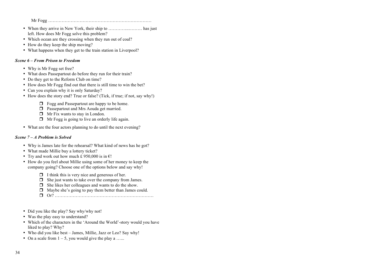Mr Fogg ……………………………………………………………

- When they arrive in New York, their ship to …………..……… has just left. How does Mr Fogg solve this problem?
- Which ocean are they crossing when they run out of coal?
- How do they keep the ship moving?
- What happens when they get to the train station in Liverpool?

## *Scene 6 – From Prison to Freedom*

- Why is Mr Fogg set free?
- What does Passepartout do before they run for their train?
- Do they get to the Reform Club on time?
- How does Mr Fogg find out that there is still time to win the bet?
- Can you explain why it is only Saturday?
- How does the story end? True or false? (Tick, if true; if not, say why!)
	- $\Box$  Fogg and Passepartout are happy to be home.
	- $\Box$  Passepartout and Mrs Aouda get married.
	- $\Box$  Mr Fix wants to stay in London.
	- $\Box$  Mr Fogg is going to live an orderly life again.
- What are the four actors planning to do until the next evening?

# *Scene 7 – A Problem is Solved*

- Why is James late for the rehearsal? What kind of news has he got?
- What made Millie buy a lottery ticket?
- Try and work out how much £ 950,000 is in  $\epsilon$ !
- How do you feel about Millie using some of her money to keep the company going? Choose one of the options below and say why!
	- $\Box$  I think this is very nice and generous of her.
	- $\Box$  She just wants to take over the company from James.
	- $\Box$  She likes her colleagues and wants to do the show.
	- $\Box$  Maybe she's going to pay them better than James could.
	- r Or? …………………………………………………………
- Did you like the play? Say why/why not!
- Was the play easy to understand?
- Which of the characters in the 'Around the World'-story would you have liked to play? Why?
- Who did you like best James, Millie, Jazz or Leo? Say why!
- On a scale from  $1 5$ , you would give the play a …...